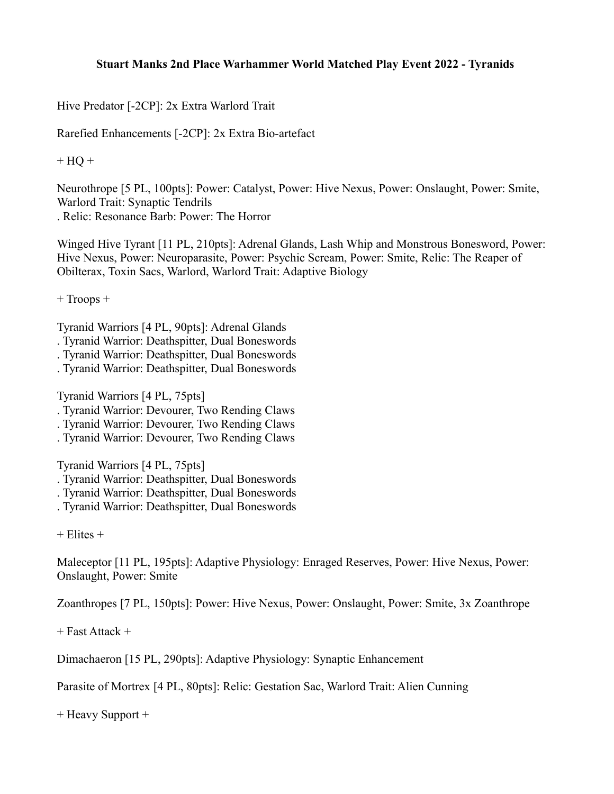## **Stuart Manks 2nd Place Warhammer World Matched Play Event 2022 - Tyranids**

Hive Predator [-2CP]: 2x Extra Warlord Trait

Rarefied Enhancements [-2CP]: 2x Extra Bio-artefact

 $+ HO +$ 

Neurothrope [5 PL, 100pts]: Power: Catalyst, Power: Hive Nexus, Power: Onslaught, Power: Smite, Warlord Trait: Synaptic Tendrils . Relic: Resonance Barb: Power: The Horror

Winged Hive Tyrant [11 PL, 210pts]: Adrenal Glands, Lash Whip and Monstrous Bonesword, Power: Hive Nexus, Power: Neuroparasite, Power: Psychic Scream, Power: Smite, Relic: The Reaper of Obilterax, Toxin Sacs, Warlord, Warlord Trait: Adaptive Biology

 $+$  Troops  $+$ 

Tyranid Warriors [4 PL, 90pts]: Adrenal Glands

- . Tyranid Warrior: Deathspitter, Dual Boneswords
- . Tyranid Warrior: Deathspitter, Dual Boneswords
- . Tyranid Warrior: Deathspitter, Dual Boneswords

Tyranid Warriors [4 PL, 75pts]

- . Tyranid Warrior: Devourer, Two Rending Claws
- . Tyranid Warrior: Devourer, Two Rending Claws
- . Tyranid Warrior: Devourer, Two Rending Claws

Tyranid Warriors [4 PL, 75pts]

- . Tyranid Warrior: Deathspitter, Dual Boneswords
- . Tyranid Warrior: Deathspitter, Dual Boneswords
- . Tyranid Warrior: Deathspitter, Dual Boneswords

+ Elites +

Maleceptor [11 PL, 195pts]: Adaptive Physiology: Enraged Reserves, Power: Hive Nexus, Power: Onslaught, Power: Smite

Zoanthropes [7 PL, 150pts]: Power: Hive Nexus, Power: Onslaught, Power: Smite, 3x Zoanthrope

+ Fast Attack +

Dimachaeron [15 PL, 290pts]: Adaptive Physiology: Synaptic Enhancement

Parasite of Mortrex [4 PL, 80pts]: Relic: Gestation Sac, Warlord Trait: Alien Cunning

+ Heavy Support +